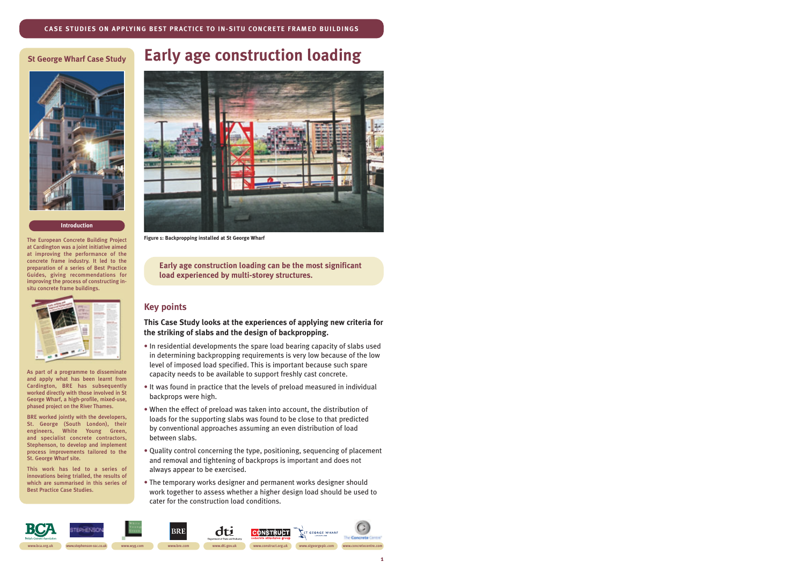### **St George Wharf Case Study**



#### **Introduction**

The European Concrete Building Project at Cardington was a joint initiative aimed at improving the performance of the concrete frame industry. It led to the preparation of a series of Best Practice Guides, giving recommendations for improving the process of constructing insitu concrete frame buildings.



As part of a programme to disseminate and apply what has been learnt from Cardington, BRE has subsequently worked directly with those involved in St George Wharf, a high-profile, mixed-use, phased project on the River Thames.

BRE worked jointly with the developers, St. George (South London), their engineers, White Young Green, and specialist concrete contractors, Stephenson, to develop and implement process improvements tailored to the St. George Wharf site.

This work has led to a series of innovations being trialled, the results of which are summarised in this series of Best Practice Case Studies.

# **Early age construction loading**



**Figure 1: Backpropping installed at St George Wharf**

**Early age construction loading can be the most significant load experienced by multi-storey structures.**

## **Key points**

**This Case Study looks at the experiences of applying new criteria for the striking of slabs and the design of backpropping.**

- In residential developments the spare load bearing capacity of slabs used in determining backpropping requirements is very low because of the low level of imposed load specified. This is important because such spare capacity needs to be available to support freshly cast concrete.
- It was found in practice that the levels of preload measured in individual backprops were high.
- When the effect of preload was taken into account, the distribution of loads for the supporting slabs was found to be close to that predicted by conventional approaches assuming an even distribution of load between slabs.
- Quality control concerning the type, positioning, sequencing of placement and removal and tightening of backprops is important and does not always appear to be exercised.
- The temporary works designer and permanent works designer should work together to assess whether a higher design load should be used to cater for the construction load conditions.

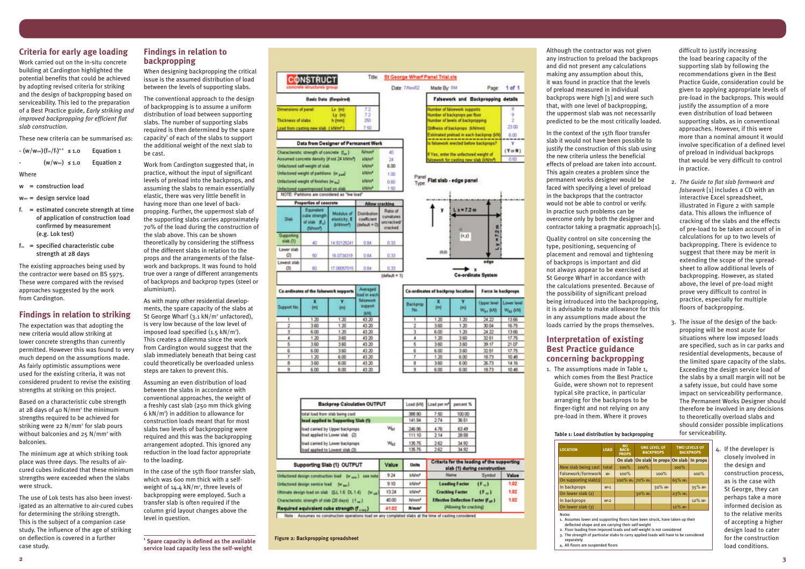## **Criteria for early age loading**

Work carried out on the in-situ concrete building at Cardington highlighted the potential benefits that could be achieved by adopting revised criteria for striking and the design of backpropping based on serviceability. This led to the preparation of a Best Practice guide, *Early striking and improved backpropping for efficient flat slab construction.*

- $f_c$  = estimated concrete strength at time of application of construction load confirmed by measurement (e.g. Lok test)
- $f<sub>cu</sub>$  = specified characteristic cube strength at 28 days

These new criteria can be summarised as:

| $ (W/Wser) (fcu/fc)0.6 \le 1.0$                | Equation 1 |
|------------------------------------------------|------------|
| $(w/wser) \le 1.0$<br>$\overline{\phantom{0}}$ | Equation 2 |

Where

w = construction load

wser = design service load

The existing approaches being used by the contractor were based on BS 5975. These were compared with the revised approaches suggested by the work from Cardington.

### **Findings in relation to striking**

The expectation was that adopting the new criteria would allow striking at lower concrete strengths than currently permitted. However this was found to very much depend on the assumptions made. As fairly optimistic assumptions were used for the existing criteria, it was not considered prudent to revise the existing strengths at striking on this project.

Based on a characteristic cube strength at 28 days of 40 N/mm <sup>2</sup> the minimum strengths required to be achieved for striking were 22 N/mm <sup>2</sup> for slab pours without balconies and 25 N/mm <sup>2</sup> with balconies.

The minimum age at which striking took place was three days. The results of aircured cubes indicated that these minimum strengths were exceeded when the slabs were struck.

The use of Lok tests has also been investigated as an alternative to air-cured cubes for determining the striking strength. This is the subject of a companion case study. The influence of the age of striking on deflection is covered in a further case study.

### **Findings in relation to backpropping**

When designing backpropping the critical issue is the assumed distribution of load between the levels of supporting slabs.

The conventional approach to the design of backpropping is to assume a uniform distribution of load between supporting slabs. The number of supporting slabs required is then determined by the spare capacity **<sup>1</sup>** of each of the slabs to support the additional weight of the next slab to be cast.

Work from Cardington suggested that, in practice, without the input of significant levels of preload into the backprops, and assuming the slabs to remain essentially elastic, there was very little benefit in having more than one level of backpropping. Further, the uppermost slab of the supporting slabs carries approximately 70% of the load during the construction of the slab above. This can be shown theoretically by considering the stiffness of the different slabs in relation to the props and the arrangements of the falsework and backprops. It was found to hold true over a range of different arrangements of backprops and backprop types (steel or aluminium).

As with many other residential developments, the spare capacity of the slabs at St George Wharf (3.1 kN/m <sup>2</sup> unfactored), is very low because of the low level of imposed load specified (1.5 kN/m 2 ). This creates a dilemma since the work from Cardington would suggest that the slab immediately beneath that being cast could theoretically be overloaded unless steps are taken to prevent this.

Assuming an even distribution of load between the slabs in accordance with conventional approaches, the weight of a freshly cast slab (250 mm thick giving 6 kN/m 2 ) in addition to allowance for construction loads meant that for most slabs two levels of backpropping were required and this was the backpropping arrangement adopted. This ignored any reduction in the load factor appropriate to the loading.

In the case of the 15th floor transfer slab, which was 600 mm thick with a selfweight of 14.4 kN/m², three levels of backpropping were employed. Such a transfer slab is often required if the column grid layout changes above the level in question.

Although the contractor was not given any instruction to preload the backprops and did not present any calculations making any assumption about this, it was found in practice that the levels of preload measured in individual backprops were high [3] and were such that, with one level of backpropping, the uppermost slab was not necessarily predicted to be the most critically loaded.

17.75  $10.48$ 14.16 10.48

In the context of the 15th floor transfer slab it would not have been possible to justify the construction of this slab using the new criteria unless the beneficial effects of preload are taken into account. This again creates a problem since the permanent works designer would be faced with specifying a level of preload in the backprops that the contractor would not be able to control or verify. In practice such problems can be overcome only by both the designer and contractor taking a pragmatic approach [1].

Quality control on site concerning the type, positioning, sequencing of placement and removal and tightening of backprops is important and did not always appear to be exercised at St George Wharf in accordance with the calculations presented. Because of the possibility of significant preload being introduced into the backpropping, it is advisable to make allowance for this in any assumptions made about the loads carried by the props themselves.

# **Interpretation of existing Best Practice guidance concerning backpropping**

1. The assumptions made in Table 1, which comes from the Best Practice Guide, were shown not to represent typical site practice, in particular arranging for the backprops to be finger-tight and not relying on any pre-load in them. Where it proves

difficult to justify increasing the load bearing capacity of the supporting slab by following the recommendations given in the Best Practice Guide, consideration could be given to applying appropriate levels of pre-load in the backprops. This would justify the assumption of a more even distribution of load between supporting slabs, as in conventional approaches. However, if this were more than a nominal amount it would involve specification of a defined level of preload in individual backprops that would be very difficult to control in practice.

- 2. *The Guide to flat slab formwork and falsework* [1] includes a CD with an interactive Excel spreadsheet, illustrated in Figure 2 with sample data. This allows the influence of cracking of the slabs and the effects of pre-load to be taken account of in calculations for up to two levels of backpropping. There is evidence to suggest that there may be merit in extending the scope of the spreadsheet to allow additional levels of backpropping. However, as stated above, the level of pre-load might prove very difficult to control in practice, especially for multiple floors of backpropping.
- 3. The issue of the design of the backpropping will be most acute for situations where low imposed loads are specified, such as in car parks and residential developments, because of the limited spare capacity of the slabs. Exceeding the design service load of the slabs by a small margin will not be a safety issue, but could have some impact on serviceability performance. The Permanent Works Designer should therefore be involved in any decisions to theoretically overload slabs and should consider possible implications for serviceability.

4. If the developer is closely involved in the design and construction process, as is the case with St George, they can perhaps take a more informed decision as to the relative merits of accepting a higher design load to cater for the construction load conditions.

**<sup>1</sup> Spare capacity is defined as the available service load capacity less the self-weight**

|                        | <b>CONSTRUCT</b>                                                                       |                                                      | Title:                                       |                                     |                      | <b>St George Wharf Panel Trial.xis</b>                                                       |                                         |                           |                     |
|------------------------|----------------------------------------------------------------------------------------|------------------------------------------------------|----------------------------------------------|-------------------------------------|----------------------|----------------------------------------------------------------------------------------------|-----------------------------------------|---------------------------|---------------------|
|                        |                                                                                        |                                                      |                                              | Date: 7/Nov/02                      | Made By: RM<br>Page: |                                                                                              |                                         | $1$ of $1$                |                     |
|                        |                                                                                        | <b>Basic Data (Required)</b>                         |                                              |                                     |                      |                                                                                              | Falsework and Backpropping details      |                           |                     |
| Dimensions of panel:   |                                                                                        | $Lx$ (m)                                             | 7.2                                          |                                     |                      |                                                                                              | Number of falsework supports            |                           | 9.<br>9             |
| Thickness of slabs     |                                                                                        | $Ly$ $(m)$<br>h (mm)                                 | 7.2<br>290                                   |                                     |                      | Number of backprops per floor                                                                |                                         |                           |                     |
|                        |                                                                                        |                                                      | 7.50                                         |                                     |                      | Number of levels of backpropping<br>Stiffness of backprops (MA/mm)                           |                                         |                           | ż<br>23.00          |
|                        | Load from casting new slab (kN/m2)                                                     |                                                      |                                              |                                     |                      |                                                                                              | Estimated preload in each backprop (kN) |                           | 6.00                |
|                        | Data from Designer of Permanent Work                                                   |                                                      |                                              |                                     |                      |                                                                                              | is falsework erected before backprops?  |                           | ۷                   |
|                        | Characteristic strength of concrete (fax)                                              |                                                      | N/mm <sup>2</sup>                            | 40                                  |                      |                                                                                              |                                         |                           | $(Y \text{ or } N)$ |
|                        | Assumed concrete density (if not 24 kN/m")                                             |                                                      | kN/m <sup>n</sup>                            | 24                                  |                      | If Yes, enter the unfactored weight of<br>alsework for casting new slab (kN/m <sup>n</sup> ) |                                         |                           |                     |
|                        | Unfactored self weight of slab                                                         |                                                      | kN/m <sup>e</sup>                            | 6.00                                |                      |                                                                                              |                                         |                           | 0.50                |
|                        | Unfactored weight of partitions (w and)                                                |                                                      | <b>kN/m<sup>e</sup></b>                      | 1.00                                |                      |                                                                                              |                                         |                           |                     |
|                        |                                                                                        |                                                      | kN/m <sup>e</sup>                            |                                     | Panel                |                                                                                              | Flat slab - edge panel                  |                           |                     |
|                        | Unfactored weight of finishes (wan)                                                    |                                                      |                                              | 0.60                                | Type:                |                                                                                              |                                         |                           |                     |
|                        | Unfactored superimposed load on slab<br>NOTE: Partitions are considered as "live load" |                                                      | khi/m <sup>a</sup>                           | 1.50                                |                      |                                                                                              |                                         |                           |                     |
|                        | <b>Properties of concrete</b>                                                          |                                                      |                                              | <b>Allow cracking</b>               | $Lx = 7.2m$          |                                                                                              |                                         |                           |                     |
|                        | Equivalent                                                                             |                                                      |                                              | Ratio of                            |                      |                                                                                              |                                         |                           |                     |
| Slab                   | cube strength<br>of slab (f.)<br>(Newer)                                               | Modulus of<br>elasticity, E<br>(kN/mm <sup>m</sup> ) | Distribution<br>coefficient<br>(default = 0) | curvatures<br>uncracked/<br>cracked |                      |                                                                                              | o                                       |                           |                     |
| Supporting<br>slab (1) | 40                                                                                     | 14.92125241                                          | 0.84                                         | 0.33                                |                      |                                                                                              | (x,y)                                   | $y = 72$ m                |                     |
| Lower slab<br>ø        | 50                                                                                     | 16.0734319                                           | 0.84                                         | 0.33                                |                      | 俱曲                                                                                           |                                         | ٠                         |                     |
| Lowest slab            |                                                                                        |                                                      |                                              |                                     |                      |                                                                                              |                                         | edge                      |                     |
| 団                      | 60                                                                                     | 17.00057015                                          | 0.84                                         | 0.33                                |                      |                                                                                              |                                         |                           |                     |
|                        |                                                                                        |                                                      |                                              | $(d$ eñault = 1)                    |                      |                                                                                              |                                         | <b>Co-ordinate System</b> |                     |
|                        | Co-ordinates of the falsework supports                                                 |                                                      | <b>Averaged</b><br>load in each              |                                     |                      |                                                                                              | Co-ordinates of backprop locations      |                           | Force in backprops  |
|                        | x                                                                                      | ٧                                                    | <b>falsework</b>                             |                                     | Backprop             | x                                                                                            | Y                                       | <b>Upper level</b>        | Lower level         |
| Support No.            | (m)                                                                                    | 0mb                                                  | support                                      |                                     | No.                  | (m)                                                                                          | (m)                                     | W., 010                   | $W_{12}$ (i.r.)     |
|                        |                                                                                        |                                                      | 6.10                                         |                                     |                      |                                                                                              |                                         |                           |                     |
| 1                      | 1.20                                                                                   | 1,20                                                 | 43.20                                        |                                     | 1                    | 1.20                                                                                         | 1.20                                    | 24.22                     | 13.66               |
| 2                      | 360                                                                                    | 1.20                                                 | 43.20<br>43.20                               |                                     | 2                    | 3.60                                                                                         | 1.20                                    | 30.04                     | 16.75<br>13.66      |
| з<br>4                 | 6.00<br>1.20                                                                           | 1.20<br>3.60                                         | 43.20                                        |                                     | з<br>4               | 6.00<br>1.20                                                                                 | 1.20<br>3.60                            | 24.22<br>32.51            | 17.75               |
| 5                      | 3.60                                                                                   | 3.60                                                 | 43.20                                        |                                     | 5                    | 3.60                                                                                         | 3.60                                    | 39.17                     | 21.07               |
| 6                      | 6.00                                                                                   | 3.60                                                 | 43.20                                        |                                     | 6                    | 6.00                                                                                         | 3.60                                    | 32.51                     | 17.75               |
| $\overline{r}$         | 1.20                                                                                   | 6.00                                                 | 43.20                                        |                                     | $\overline{I}$       | 1.20                                                                                         | 6.00                                    | 18.73                     | 10.48               |
| 8                      | 3.60                                                                                   | 6.00                                                 | 43.20                                        |                                     | B                    | 3.60                                                                                         | 6.00                                    | 26.73                     | 14.16               |
| ۰                      | E.OO                                                                                   | #nn                                                  | 49.99.                                       |                                     | ٠                    | $#$ nn                                                                                       | E OO                                    | 10.73                     | 10.49               |

| <b>Backprop Calculation OUTPUT</b><br>total load from slab being cast |                  |        | Load (kN) Load per m <sup>e</sup> | percent %<br>100.00<br>36.51 |  |
|-----------------------------------------------------------------------|------------------|--------|-----------------------------------|------------------------------|--|
|                                                                       |                  | 388.80 | 7.50                              |                              |  |
| load applied to Supporting Slab (1)                                   | 141.94           | 274    |                                   |                              |  |
| load carried by Upper backprops                                       | W <sub>int</sub> | 246.86 | 4.76                              | 63.49                        |  |
| load applied to Lower slab (2)                                        |                  | 111.10 | 2.14                              | 28.58                        |  |
| load carried by Lower backprops                                       | W <sub>ko</sub>  | 136.76 | 2.62                              | 34.92                        |  |
| lock and added to I comet also 75.                                    |                  | 1%E 7K | うまう                               | 34.05                        |  |

| Supporting Slab (1) OUTPUT                                          | Value | <b>Units</b>       | Criteria for the loading of the supporting<br>slab (1) during construction |                       |  |
|---------------------------------------------------------------------|-------|--------------------|----------------------------------------------------------------------------|-----------------------|--|
| Unfactored design construction load (w can.)<br>see note            | 9.24  | khi/m <sup>a</sup> | Name:<br>Symbol                                                            | Value                 |  |
| Unfactored design senice load<br>$(w_{nm})$                         | 9.10  | kN/mf              | <b>Leading Factor</b><br>$(F_$                                             | 1.02                  |  |
| Ultimate design load on slab ((LL 1.6 DL 1.4)<br>$(w_{\text{sub}})$ | 13.24 | kNWH               | <b>Cracking Factor</b><br>$(F_{xx})$                                       | 1.02                  |  |
| Characteristic strength of slab (26 days) (f  )                     | 40.00 | Nimm <sup>a</sup>  | <b>Effective Deflection Factor (Fax)</b>                                   | 1.02<br><b>120.00</b> |  |
| Required equivalent cube strength (f and)                           | 41.02 | N/mm <sup>t</sup>  | (Allowing for cracking)                                                    |                       |  |

Note: Assumes no construction operations load on any completed slabs at the time of casting considered

**Figure 2: Backpropping spreadsheet**

2. Floor loading from imposed loads and self-weight is not considered

3. The strength of particular slabs to carry applied loads will have to be considered

- 
- separately
- 4. All floors are suspended floors

| <b>LOCATION</b>                                                                                                                                    | <b>LOAD</b>     | <b>NO</b><br><b>BACK-</b><br><b>PROPS</b> | <b>ONE LEVEL OF</b><br><b>BACKPROPS</b> |                                        | <b>TWO LEVELS OF</b><br><b>BACKPROPS</b> |                       |  |
|----------------------------------------------------------------------------------------------------------------------------------------------------|-----------------|-------------------------------------------|-----------------------------------------|----------------------------------------|------------------------------------------|-----------------------|--|
|                                                                                                                                                    |                 |                                           |                                         | On slab   On slab   In props   On slab |                                          | In props              |  |
| New slab being cast                                                                                                                                | total           | $100\%$                                   | 100%                                    |                                        | 100%                                     |                       |  |
| Falsework/formwork                                                                                                                                 | <b>Wp</b>       | $100\%$                                   |                                         | 100%                                   |                                          | 100%                  |  |
| On supporting $slab(1)$                                                                                                                            |                 | 100% $W_P$ 70% $W_P$                      |                                         |                                        | $65% w_{P}$                              |                       |  |
| In backprops                                                                                                                                       | W <sub>b1</sub> |                                           |                                         | $30\% W_{P}$                           |                                          | $35% W_{P}$           |  |
| On lower slab (2)                                                                                                                                  |                 |                                           | $30\%$ W <sub>p</sub>                   |                                        | $23% W_{P}$                              |                       |  |
| In backprops                                                                                                                                       | W <sub>b2</sub> |                                           |                                         |                                        |                                          | $12\%$ W <sub>p</sub> |  |
| On lower slab (3)                                                                                                                                  |                 |                                           |                                         |                                        | $12\%$ W <sub>p</sub>                    |                       |  |
| <b>Notes</b><br>1. Assumes lower and supporting floors have been struck, have taken up their<br>deflected shape and are carrying their self-weight |                 |                                           |                                         |                                        |                                          |                       |  |

### **Table 1: Load distribution by backpropping**